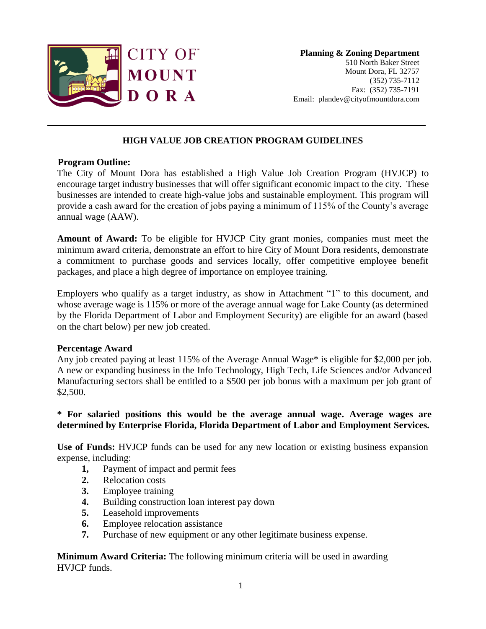

**Planning & Zoning Department** 510 North Baker Street Mount Dora, FL 32757 (352) 735-7112 Fax: (352) 735-7191 Email: plandev@cityofmountdora.com

# **HIGH VALUE JOB CREATION PROGRAM GUIDELINES**

#### **Program Outline:**

The City of Mount Dora has established a High Value Job Creation Program (HVJCP) to encourage target industry businesses that will offer significant economic impact to the city. These businesses are intended to create high-value jobs and sustainable employment. This program will provide a cash award for the creation of jobs paying a minimum of 115% of the County's average annual wage (AAW).

**Amount of Award:** To be eligible for HVJCP City grant monies, companies must meet the minimum award criteria, demonstrate an effort to hire City of Mount Dora residents, demonstrate a commitment to purchase goods and services locally, offer competitive employee benefit packages, and place a high degree of importance on employee training.

Employers who qualify as a target industry, as show in Attachment "1" to this document, and whose average wage is 115% or more of the average annual wage for Lake County (as determined by the Florida Department of Labor and Employment Security) are eligible for an award (based on the chart below) per new job created.

### **Percentage Award**

Any job created paying at least 115% of the Average Annual Wage\* is eligible for \$2,000 per job. A new or expanding business in the Info Technology, High Tech, Life Sciences and/or Advanced Manufacturing sectors shall be entitled to a \$500 per job bonus with a maximum per job grant of \$2,500.

# **\* For salaried positions this would be the average annual wage. Average wages are determined by Enterprise Florida, Florida Department of Labor and Employment Services.**

**Use of Funds:** HVJCP funds can be used for any new location or existing business expansion expense, including:

- **1,** Payment of impact and permit fees
- **2.** Relocation costs
- **3.** Employee training
- **4.** Building construction loan interest pay down
- **5.** Leasehold improvements
- **6.** Employee relocation assistance
- **7.** Purchase of new equipment or any other legitimate business expense.

**Minimum Award Criteria:** The following minimum criteria will be used in awarding HVJCP funds.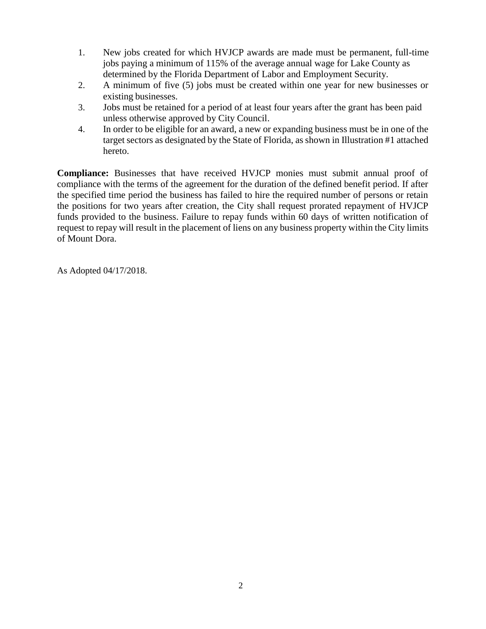- 1. New jobs created for which HVJCP awards are made must be permanent, full-time jobs paying a minimum of 115% of the average annual wage for Lake County as determined by the Florida Department of Labor and Employment Security.
- 2. A minimum of five (5) jobs must be created within one year for new businesses or existing businesses.
- 3. Jobs must be retained for a period of at least four years after the grant has been paid unless otherwise approved by City Council.
- 4. In order to be eligible for an award, a new or expanding business must be in one of the target sectors as designated by the State of Florida, as shown in Illustration #1 attached hereto.

**Compliance:** Businesses that have received HVJCP monies must submit annual proof of compliance with the terms of the agreement for the duration of the defined benefit period. If after the specified time period the business has failed to hire the required number of persons or retain the positions for two years after creation, the City shall request prorated repayment of HVJCP funds provided to the business. Failure to repay funds within 60 days of written notification of request to repay will result in the placement of liens on any business property within the City limits of Mount Dora.

As Adopted 04/17/2018.